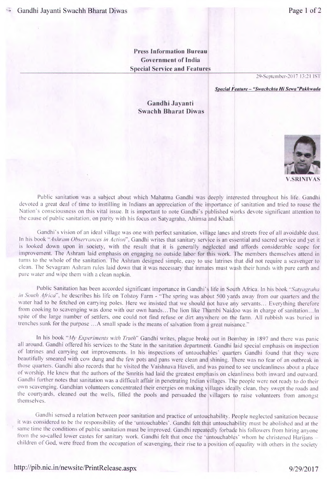**Press Information Bureau Government of India Special Service and Features** 

29-September-2017 13:21 IST

*Special Feature -"Swac/ic/ita Hi Sewa "PaA/,wada* 

Gandhi Javanti **S%vachh Bharat Diwas** 



Public sanitation was a subject about which Mahatma Gandhi was deeply interested throughout his life. Gandhi devoted a great deal of time to instilling in Indians an appreciation of the importance of sanitation and tried to rouse the Nation's consciousness on this vital issue. It is important to note Gandhi's published works devote significant attention to the cause of public sanitation, on parity with his focus on Satyagraha, Ahimsa and Khadi.

Gandhi's vision of an ideal village was one with perfect sanitation. village lanes and streets free of all avoidable dust. In his book "Ashram Observances in Action". Gandhi writes that sanitary service is an essential and sacred service and yet it is looked down upon in society, with the result that it is generally neglected and affords considerable scope for improvement. The Ashram laid emphasis on engaging no outside labor for this work. The members themselves attend in turns to the whole of the sanitation. The Ashram designed simple, easy to use latrines that did not require a scavenger to clean. The Sevagram Ashram rules laid down that it was necessary that inmates must wash their hands with pure earth and pure water and wipe them with a clean napkin.

Public Sanitation has been accorded significant importance in Gandhi's life in South Africa. In his book "Satyagraha in South Africa", he describes his life on Tolstoy Farm - "The spring was about 500 yards away from our quarters and the water had to be fetched on carrying poles. Here we insisted that we should not have any servants... Everything therefore from cooking to scavenging was done with our own hands... The lion like Thambi Naidoo was in charge of sanitation... In spite of the large number of settlers, one could not find refuse or dirt anywhere on the farm. All rubbish was buried in trenches sunk for the purpose ... A small spade is the means of salvation from a great nuisance."

In his book "My Experiments with Truth" Gandhi writes, plague broke out in Bombay in 1897 and there was panic all around. Gandhi offered his services to the State in the sanitation department. Gandhi laid special emphasis on inspection of latrines and carrying out improvements. In his inspections of untouchables' quarters Gandhi found that they were beautifully smeared with cow dung and the few pots and pans were clean and shining. There was no fear of an outbreak in those quarters. Gandhi also records that he visited the Vaishnava Haveli, and was pained to see uncleanliness about a place Of worship. He knew that the authors of the Smritis had laid the greatest emphasis on cleanliness both inward and outward. Gandhi further notes that sanitation was a difficult affair in penetrating Indian villages. The people were not ready to do their own scavenging. Gandhian volunteers concentrated their energies on making villages ideally clean. they swept the roads and the courtyards, cleaned out the wells, filled the pools and persuaded the villagers to raise volunteers from amongst themselves.

Gandhi sensed a relation between poor sanitation and practice of untouchahility. People neglected sanitation because it was considered to be the responsibility of the 'untouchables'. Gandhi felt that untouchability must he abolished and at the same time the conditions of public sanitation must be improved. Gandhi repeatedly forbade his followers from hiring anyone from the so-called lower castes for sanitary work. Gandhi felt that once the 'untouchables' whom he christened Harijans children of God, were freed from the occupation of scavenging, their rise to a position of equality with others in the society